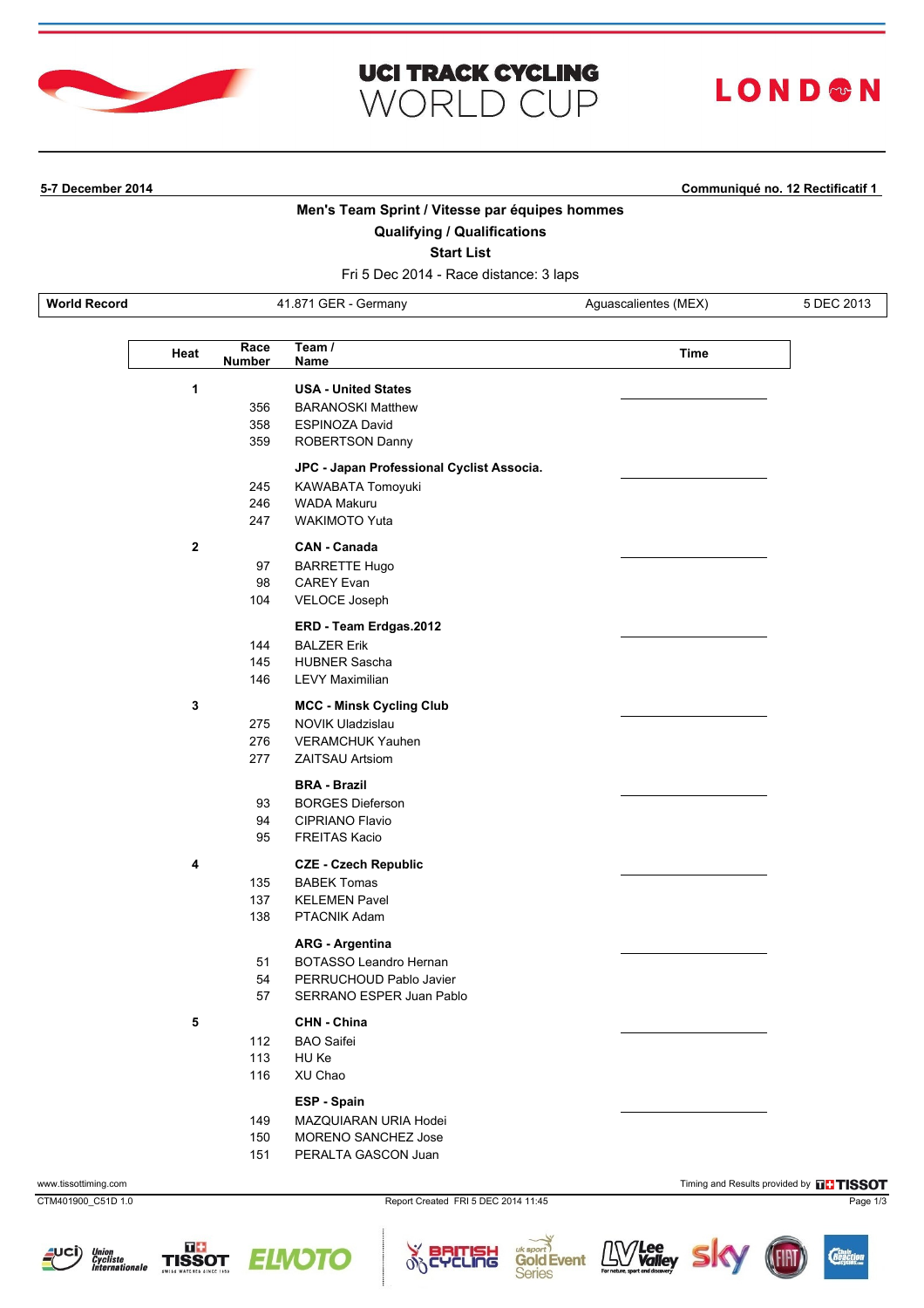

## **UCI TRACK CYCLING WORLD CUP**

# LOND®N

**5-7 December 2014 Communiqué no. 12 Rectificatif 1**

#### **Men's Team Sprint / Vitesse par équipes hommes**

#### **Qualifying / Qualifications**

**Start List**

Fri 5 Dec 2014 - Race distance: 3 laps

**World Record** 41.871 GER - Germany Aguascalientes (MEX) 5 DEC 2013

| Heat         | Race<br><b>Number</b> | Team $/$<br>Name                          | Time |
|--------------|-----------------------|-------------------------------------------|------|
| 1            |                       | <b>USA - United States</b>                |      |
|              | 356                   | <b>BARANOSKI Matthew</b>                  |      |
|              | 358                   | <b>ESPINOZA David</b>                     |      |
|              | 359                   | ROBERTSON Danny                           |      |
|              |                       | JPC - Japan Professional Cyclist Associa. |      |
|              | 245                   | KAWABATA Tomoyuki                         |      |
|              | 246                   | <b>WADA Makuru</b>                        |      |
|              | 247                   | <b>WAKIMOTO Yuta</b>                      |      |
| $\mathbf{2}$ |                       | <b>CAN - Canada</b>                       |      |
|              | 97                    | <b>BARRETTE Hugo</b>                      |      |
|              | 98                    | <b>CAREY Evan</b>                         |      |
|              | 104                   | VELOCE Joseph                             |      |
|              |                       | ERD - Team Erdgas.2012                    |      |
|              | 144                   | <b>BALZER Erik</b>                        |      |
|              | 145                   | <b>HUBNER Sascha</b>                      |      |
|              | 146                   | <b>LEVY Maximilian</b>                    |      |
| 3            |                       | <b>MCC - Minsk Cycling Club</b>           |      |
|              | 275                   | <b>NOVIK Uladzislau</b>                   |      |
|              | 276                   | <b>VERAMCHUK Yauhen</b>                   |      |
|              | 277                   | <b>ZAITSAU Artsiom</b>                    |      |
|              |                       | <b>BRA - Brazil</b>                       |      |
|              | 93                    | <b>BORGES Dieferson</b>                   |      |
|              | 94                    | CIPRIANO Flavio                           |      |
|              | 95                    | <b>FREITAS Kacio</b>                      |      |
| 4            |                       | <b>CZE - Czech Republic</b>               |      |
|              | 135                   | <b>BABEK Tomas</b>                        |      |
|              | 137                   | <b>KELEMEN Pavel</b>                      |      |
|              | 138                   | PTACNIK Adam                              |      |
|              |                       | <b>ARG - Argentina</b>                    |      |
|              | 51                    | <b>BOTASSO Leandro Hernan</b>             |      |
|              | 54                    | PERRUCHOUD Pablo Javier                   |      |
|              | 57                    | SERRANO ESPER Juan Pablo                  |      |
| 5            |                       | CHN - China                               |      |
|              | 112                   | <b>BAO Saifei</b>                         |      |
|              | 113                   | HU Ke                                     |      |
|              | 116                   | XU Chao                                   |      |
|              |                       | ESP - Spain                               |      |
|              | 149                   | MAZQUIARAN URIA Hodei                     |      |
|              | 150                   | MORENO SANCHEZ Jose                       |      |
|              | 151                   | PERALTA GASCON Juan                       |      |

CTM401900\_C51D 1.0 Report Created FRI 5 DEC 2014 11:45 Page 1/3







cung

 $\delta$ 

www.tissottiming.com **Timing and Results provided by DCTISSOT** 

 $\mathbf{L} \mathbf{W}$  Valley

**Gold Event** 

**Series**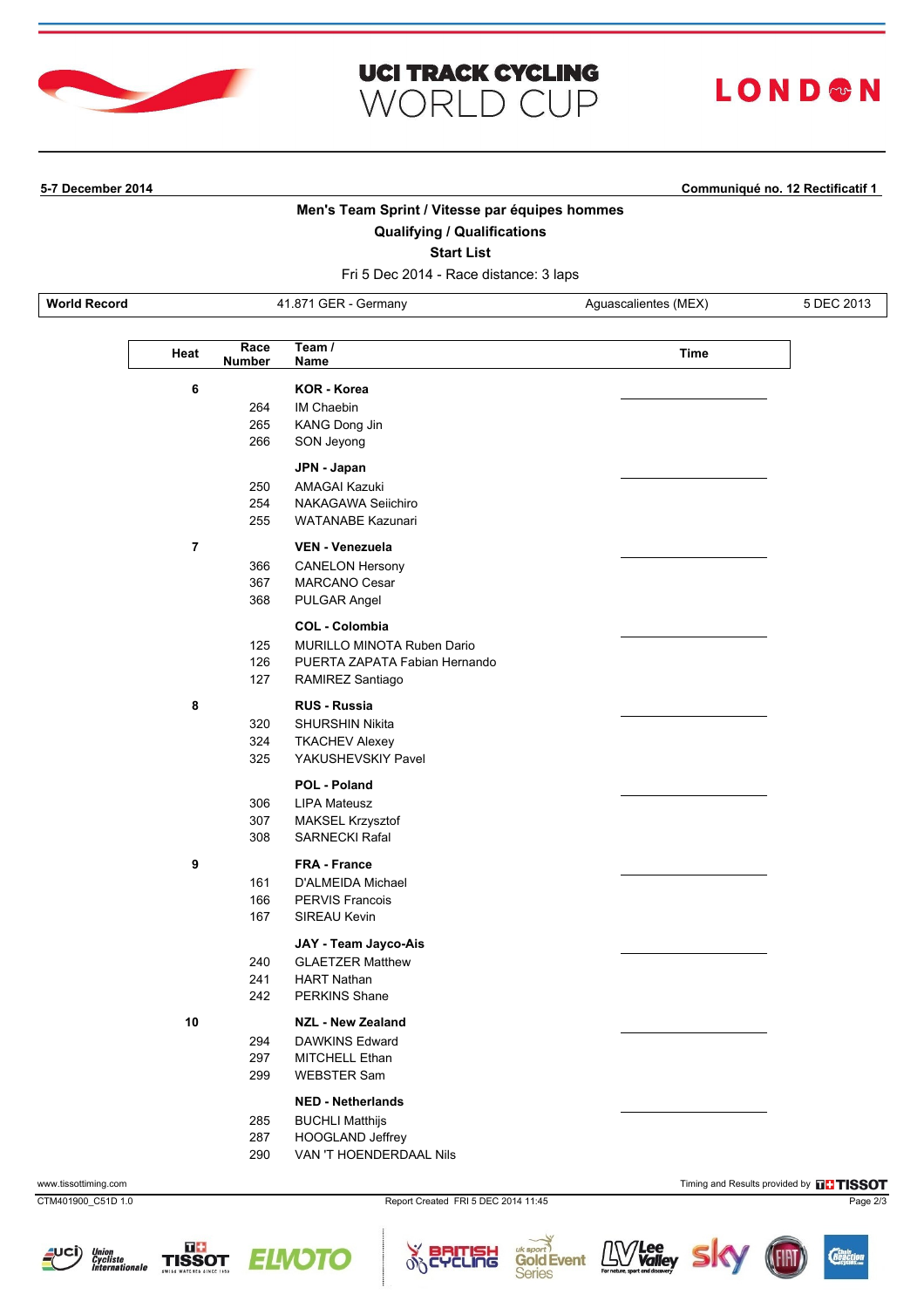

## **UCI TRACK CYCLING WORLD CUP**

# LOND®N

**5-7 December 2014 Communiqué no. 12 Rectificatif 1**

#### **Men's Team Sprint / Vitesse par équipes hommes**

#### **Qualifying / Qualifications**

**Start List**

Fri 5 Dec 2014 - Race distance: 3 laps

**World Record** 41.871 GER - Germany Aguascalientes (MEX) 5 DEC 2013

L

| Heat           | Race<br><b>Number</b> | Team $/$<br>Name                  | Time |  |
|----------------|-----------------------|-----------------------------------|------|--|
| 6              |                       | <b>KOR - Korea</b>                |      |  |
|                | 264                   | IM Chaebin                        |      |  |
|                | 265                   | KANG Dong Jin                     |      |  |
|                | 266                   | SON Jeyong                        |      |  |
|                |                       | JPN - Japan                       |      |  |
|                | 250                   | AMAGAI Kazuki                     |      |  |
|                | 254                   | NAKAGAWA Seiichiro                |      |  |
|                | 255                   | <b>WATANABE Kazunari</b>          |      |  |
| $\overline{7}$ |                       | <b>VEN - Venezuela</b>            |      |  |
|                | 366                   | <b>CANELON Hersony</b>            |      |  |
|                | 367                   | <b>MARCANO Cesar</b>              |      |  |
|                | 368                   | PULGAR Angel                      |      |  |
|                |                       | <b>COL - Colombia</b>             |      |  |
|                | 125                   | <b>MURILLO MINOTA Ruben Dario</b> |      |  |
|                | 126                   | PUERTA ZAPATA Fabian Hernando     |      |  |
|                | 127                   | RAMIREZ Santiago                  |      |  |
| 8              |                       | <b>RUS - Russia</b>               |      |  |
|                | 320                   | <b>SHURSHIN Nikita</b>            |      |  |
|                | 324                   | <b>TKACHEV Alexey</b>             |      |  |
|                | 325                   | YAKUSHEVSKIY Pavel                |      |  |
|                |                       | POL - Poland                      |      |  |
|                | 306                   | <b>LIPA Mateusz</b>               |      |  |
|                | 307                   | MAKSEL Krzysztof                  |      |  |
|                | 308                   | <b>SARNECKI Rafal</b>             |      |  |
| 9              |                       | <b>FRA - France</b>               |      |  |
|                | 161                   | D'ALMEIDA Michael                 |      |  |
|                | 166                   | <b>PERVIS Francois</b>            |      |  |
|                | 167                   | SIREAU Kevin                      |      |  |
|                |                       | JAY - Team Jayco-Ais              |      |  |
|                | 240                   | <b>GLAETZER Matthew</b>           |      |  |
|                | 241                   | <b>HART Nathan</b>                |      |  |
|                | 242                   | <b>PERKINS Shane</b>              |      |  |
| 10             |                       | <b>NZL - New Zealand</b>          |      |  |
|                | 294                   | DAWKINS Edward                    |      |  |
|                | 297                   | MITCHELL Ethan                    |      |  |
|                | 299                   | <b>WEBSTER Sam</b>                |      |  |
|                |                       | <b>NED - Netherlands</b>          |      |  |
|                | 285                   | <b>BUCHLI Matthijs</b>            |      |  |
|                | 287                   | HOOGLAND Jeffrey                  |      |  |
|                | 290                   | VAN 'T HOENDERDAAL Nils           |      |  |

www.tissottiming.com **Timing and Results provided by FITISSOT** 

CTM401900\_C51D 1.0 Report Created FRI 5 DEC 2014 11:45 Page 2/3